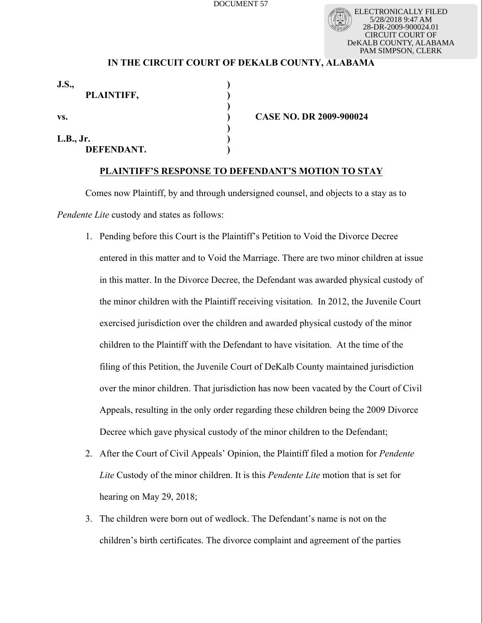ELECTRONICALLY FILED 5/28/2018 9:47 AM 28-DR-2009-900024.01 CIRCUIT COURT OF DeKALB COUNTY, ALABAMA PAM SIMPSON, CLERK

## **IN THE CIRCUIT COURT OF DEKALB COUNTY, ALABAMA**

| <b>J.S.,</b><br>PLAINTIFF, |                                |  |
|----------------------------|--------------------------------|--|
| VS.                        | <b>CASE NO. DR 2009-900024</b> |  |
| L.B., Jr.<br>DEFENDANT.    |                                |  |

## **PLAINTIFF'S RESPONSE TO DEFENDANT'S MOTION TO STAY**

Comes now Plaintiff, by and through undersigned counsel, and objects to a stay as to *Pendente Lite* custody and states as follows:

- 1. Pending before this Court is the Plaintiff's Petition to Void the Divorce Decree entered in this matter and to Void the Marriage. There are two minor children at issue in this matter. In the Divorce Decree, the Defendant was awarded physical custody of the minor children with the Plaintiff receiving visitation. In 2012, the Juvenile Court exercised jurisdiction over the children and awarded physical custody of the minor children to the Plaintiff with the Defendant to have visitation. At the time of the filing of this Petition, the Juvenile Court of DeKalb County maintained jurisdiction over the minor children. That jurisdiction has now been vacated by the Court of Civil Appeals, resulting in the only order regarding these children being the 2009 Divorce Decree which gave physical custody of the minor children to the Defendant;
- 2. After the Court of Civil Appeals' Opinion, the Plaintiff filed a motion for *Pendente Lite* Custody of the minor children. It is this *Pendente Lite* motion that is set for hearing on May 29, 2018;
- 3. The children were born out of wedlock. The Defendant's name is not on the children's birth certificates. The divorce complaint and agreement of the parties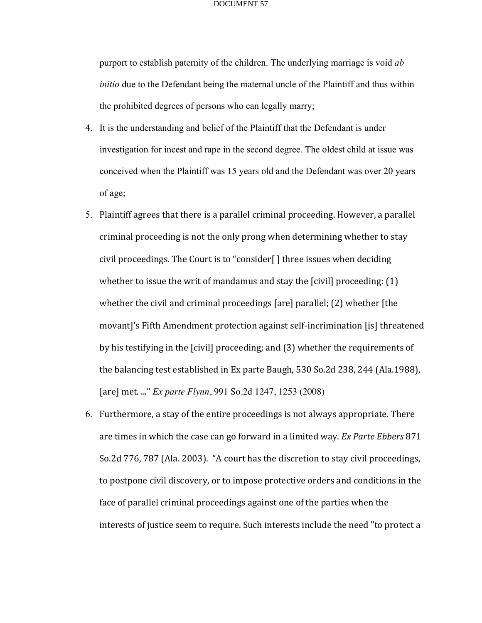purport to establish paternity of the children. The underlying marriage is void *ab initio* due to the Defendant being the maternal uncle of the Plaintiff and thus within the prohibited degrees of persons who can legally marry;

- 4. It is the understanding and belief of the Plaintiff that the Defendant is under investigation for incest and rape in the second degree. The oldest child at issue was conceived when the Plaintiff was 15 years old and the Defendant was over 20 years of age;
- 5. Plaintiff agrees that there is a parallel criminal proceeding. However, a parallel criminal proceeding is not the only prong when determining whether to stay civil proceedings. The Court is to "consider $\lceil \cdot \rceil$  three issues when deciding whether to issue the writ of mandamus and stay the  $\lceil$  civil] proceeding:  $(1)$ whether the civil and criminal proceedings [are] parallel;  $(2)$  whether [the movant]'s Fifth Amendment protection against self-incrimination [is] threatened by his testifying in the [civil] proceeding; and (3) whether the requirements of the balancing test established in Ex parte Baugh,  $530$  So.2d 238, 244 (Ala.1988), [are] met. ..." *Ex parte Flynn*, 991 So.2d 1247, 1253 (2008)
- 6. Furthermore, a stay of the entire proceedings is not always appropriate. There are times in which the case can go forward in a limited way. *Ex Parte Ebbers* 871 So.2d 776, 787 (Ala. 2003). "A court has the discretion to stay civil proceedings, to postpone civil discovery, or to impose protective orders and conditions in the face of parallel criminal proceedings against one of the parties when the interests of justice seem to require. Such interests include the need "to protect a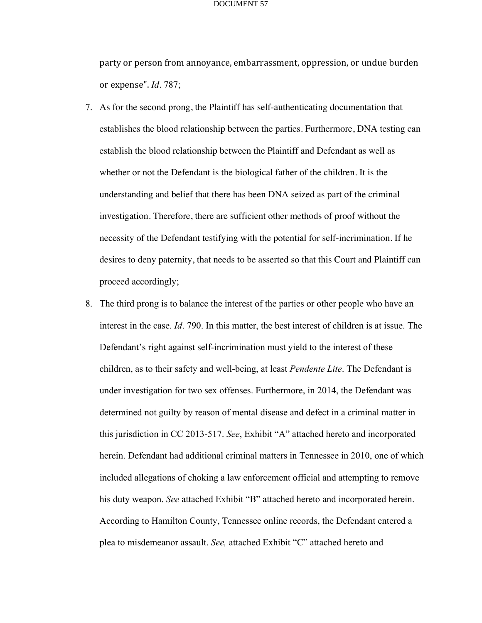party or person from annoyance, embarrassment, oppression, or undue burden or expense". *Id.* 787;

- 7. As for the second prong, the Plaintiff has self-authenticating documentation that establishes the blood relationship between the parties. Furthermore, DNA testing can establish the blood relationship between the Plaintiff and Defendant as well as whether or not the Defendant is the biological father of the children. It is the understanding and belief that there has been DNA seized as part of the criminal investigation. Therefore, there are sufficient other methods of proof without the necessity of the Defendant testifying with the potential for self-incrimination. If he desires to deny paternity, that needs to be asserted so that this Court and Plaintiff can proceed accordingly;
- 8. The third prong is to balance the interest of the parties or other people who have an interest in the case. *Id*. 790. In this matter, the best interest of children is at issue. The Defendant's right against self-incrimination must yield to the interest of these children, as to their safety and well-being, at least *Pendente Lite*. The Defendant is under investigation for two sex offenses. Furthermore, in 2014, the Defendant was determined not guilty by reason of mental disease and defect in a criminal matter in this jurisdiction in CC 2013-517. *See*, Exhibit "A" attached hereto and incorporated herein. Defendant had additional criminal matters in Tennessee in 2010, one of which included allegations of choking a law enforcement official and attempting to remove his duty weapon. *See* attached Exhibit "B" attached hereto and incorporated herein. According to Hamilton County, Tennessee online records, the Defendant entered a plea to misdemeanor assault. *See,* attached Exhibit "C" attached hereto and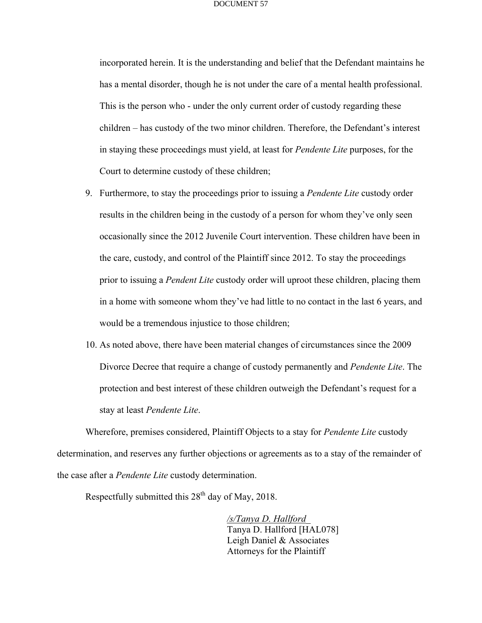incorporated herein. It is the understanding and belief that the Defendant maintains he has a mental disorder, though he is not under the care of a mental health professional. This is the person who - under the only current order of custody regarding these children – has custody of the two minor children. Therefore, the Defendant's interest in staying these proceedings must yield, at least for *Pendente Lite* purposes, for the Court to determine custody of these children;

- 9. Furthermore, to stay the proceedings prior to issuing a *Pendente Lite* custody order results in the children being in the custody of a person for whom they've only seen occasionally since the 2012 Juvenile Court intervention. These children have been in the care, custody, and control of the Plaintiff since 2012. To stay the proceedings prior to issuing a *Pendent Lite* custody order will uproot these children, placing them in a home with someone whom they've had little to no contact in the last 6 years, and would be a tremendous injustice to those children;
- 10. As noted above, there have been material changes of circumstances since the 2009 Divorce Decree that require a change of custody permanently and *Pendente Lite*. The protection and best interest of these children outweigh the Defendant's request for a stay at least *Pendente Lite*.

Wherefore, premises considered, Plaintiff Objects to a stay for *Pendente Lite* custody determination, and reserves any further objections or agreements as to a stay of the remainder of the case after a *Pendente Lite* custody determination.

Respectfully submitted this  $28<sup>th</sup>$  day of May, 2018.

*/s/Tanya D. Hallford*\_ Tanya D. Hallford [HAL078] Leigh Daniel & Associates Attorneys for the Plaintiff